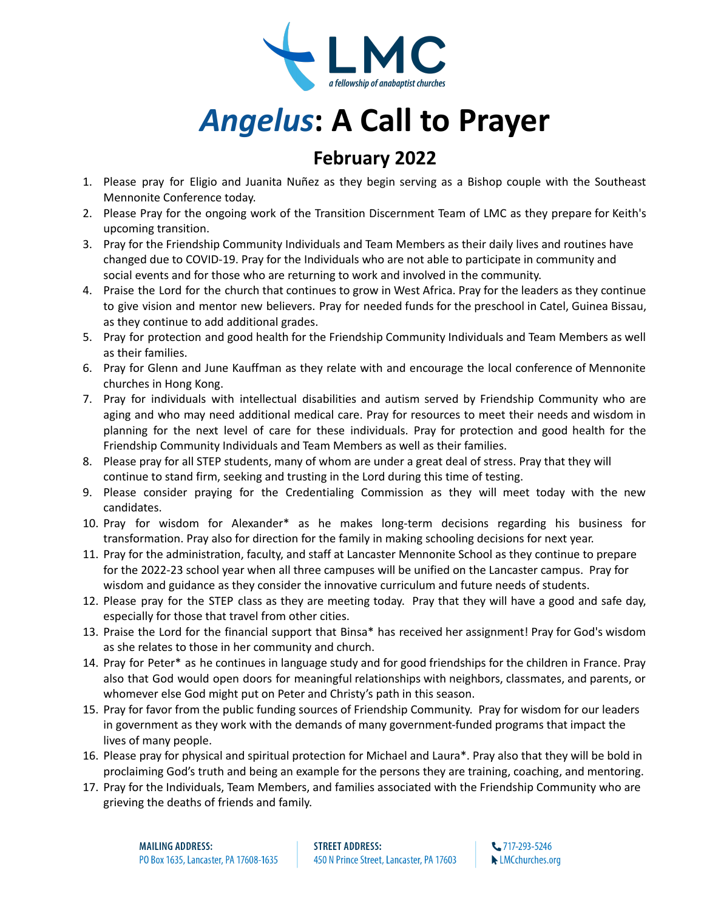

## *Angelus***: A Call to Prayer**

## **February 2022**

- 1. Please pray for Eligio and Juanita Nuñez as they begin serving as a Bishop couple with the Southeast Mennonite Conference today.
- 2. Please Pray for the ongoing work of the Transition Discernment Team of LMC as they prepare for Keith's upcoming transition.
- 3. Pray for the Friendship Community Individuals and Team Members as their daily lives and routines have changed due to COVID-19. Pray for the Individuals who are not able to participate in community and social events and for those who are returning to work and involved in the community.
- 4. Praise the Lord for the church that continues to grow in West Africa. Pray for the leaders as they continue to give vision and mentor new believers. Pray for needed funds for the preschool in Catel, Guinea Bissau, as they continue to add additional grades.
- 5. Pray for protection and good health for the Friendship Community Individuals and Team Members as well as their families.
- 6. Pray for Glenn and June Kauffman as they relate with and encourage the local conference of Mennonite churches in Hong Kong.
- 7. Pray for individuals with intellectual disabilities and autism served by Friendship Community who are aging and who may need additional medical care. Pray for resources to meet their needs and wisdom in planning for the next level of care for these individuals. Pray for protection and good health for the Friendship Community Individuals and Team Members as well as their families.
- 8. Please pray for all STEP students, many of whom are under a great deal of stress. Pray that they will continue to stand firm, seeking and trusting in the Lord during this time of testing.
- 9. Please consider praying for the Credentialing Commission as they will meet today with the new candidates.
- 10. Pray for wisdom for Alexander\* as he makes long-term decisions regarding his business for transformation. Pray also for direction for the family in making schooling decisions for next year.
- 11. Pray for the administration, faculty, and staff at Lancaster Mennonite School as they continue to prepare for the 2022-23 school year when all three campuses will be unified on the Lancaster campus. Pray for wisdom and guidance as they consider the innovative curriculum and future needs of students.
- 12. Please pray for the STEP class as they are meeting today. Pray that they will have a good and safe day, especially for those that travel from other cities.
- 13. Praise the Lord for the financial support that Binsa\* has received her assignment! Pray for God's wisdom as she relates to those in her community and church.
- 14. Pray for Peter\* as he continues in language study and for good friendships for the children in France. Pray also that God would open doors for meaningful relationships with neighbors, classmates, and parents, or whomever else God might put on Peter and Christy's path in this season.
- 15. Pray for favor from the public funding sources of Friendship Community. Pray for wisdom for our leaders in government as they work with the demands of many government-funded programs that impact the lives of many people.
- 16. Please pray for physical and spiritual protection for Michael and Laura\*. Pray also that they will be bold in proclaiming God's truth and being an example for the persons they are training, coaching, and mentoring.
- 17. Pray for the Individuals, Team Members, and families associated with the Friendship Community who are grieving the deaths of friends and family.